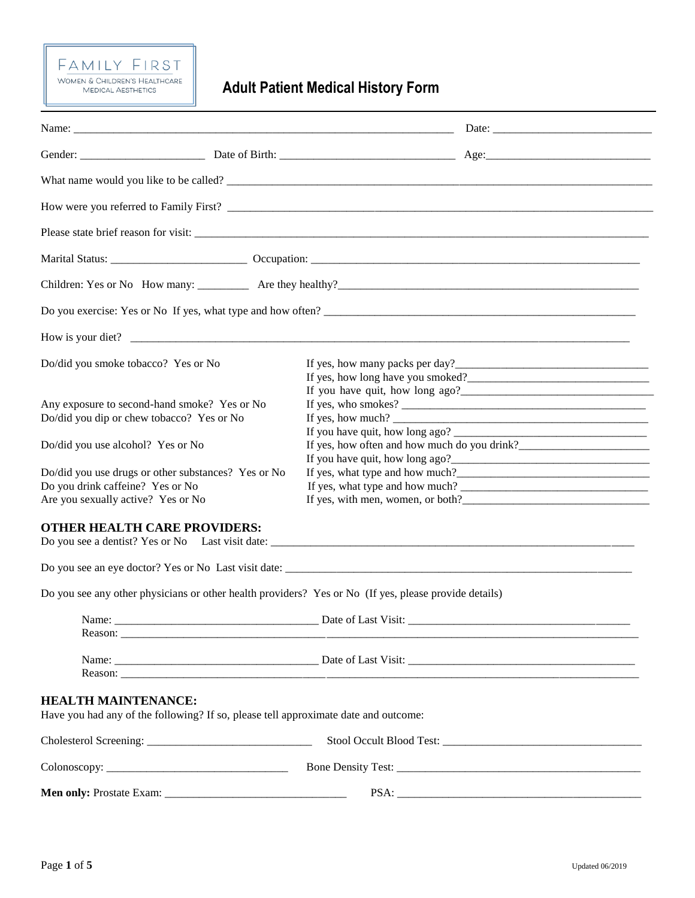# $\tfrac{\mathsf{F} \; \mathsf{A} \; \mathsf{M} \; \mathsf{I} \; \mathsf{L} \mathsf{Y} \quad \mathsf{F} \; \mathsf{I} \; \mathsf{R} \; \mathsf{S} \; \mathsf{T}}{\mathsf{W} \; \mathsf{OMEN} \; \& \; \mathsf{CHILDREN'S}\; \mathsf{HEALTHCARE}} \\ \mathsf{MEDICAL AESTHETICS}$

**Adult Patient Medical History Form**

| Name: $\frac{1}{2}$                                                                                               |                                                                                                                                   |  |  |
|-------------------------------------------------------------------------------------------------------------------|-----------------------------------------------------------------------------------------------------------------------------------|--|--|
|                                                                                                                   |                                                                                                                                   |  |  |
|                                                                                                                   |                                                                                                                                   |  |  |
|                                                                                                                   |                                                                                                                                   |  |  |
|                                                                                                                   |                                                                                                                                   |  |  |
|                                                                                                                   |                                                                                                                                   |  |  |
|                                                                                                                   |                                                                                                                                   |  |  |
|                                                                                                                   |                                                                                                                                   |  |  |
|                                                                                                                   | Do you exercise: Yes or No If yes, what type and how often?                                                                       |  |  |
|                                                                                                                   | How is your diet?                                                                                                                 |  |  |
| Do/did you smoke tobacco? Yes or No                                                                               |                                                                                                                                   |  |  |
| Any exposure to second-hand smoke? Yes or No                                                                      |                                                                                                                                   |  |  |
| Do/did you dip or chew tobacco? Yes or No                                                                         | If yes, how much? $\sqrt{\frac{2}{1-\frac{1}{2}} + \frac{1}{2-\frac{1}{2}} + \frac{1}{2-\frac{1}{2}} + \frac{1}{2-\frac{1}{2}}}}$ |  |  |
|                                                                                                                   |                                                                                                                                   |  |  |
| Do/did you use alcohol? Yes or No                                                                                 |                                                                                                                                   |  |  |
|                                                                                                                   |                                                                                                                                   |  |  |
| Do/did you use drugs or other substances? Yes or No                                                               |                                                                                                                                   |  |  |
| Do you drink caffeine? Yes or No                                                                                  |                                                                                                                                   |  |  |
| Are you sexually active? Yes or No                                                                                |                                                                                                                                   |  |  |
| <b>OTHER HEALTH CARE PROVIDERS:</b>                                                                               |                                                                                                                                   |  |  |
|                                                                                                                   |                                                                                                                                   |  |  |
| Do you see any other physicians or other health providers? Yes or No (If yes, please provide details)             |                                                                                                                                   |  |  |
|                                                                                                                   |                                                                                                                                   |  |  |
|                                                                                                                   |                                                                                                                                   |  |  |
| <b>HEALTH MAINTENANCE:</b><br>Have you had any of the following? If so, please tell approximate date and outcome: |                                                                                                                                   |  |  |
|                                                                                                                   |                                                                                                                                   |  |  |
| $\text{Colonoscopy: }$                                                                                            |                                                                                                                                   |  |  |
|                                                                                                                   |                                                                                                                                   |  |  |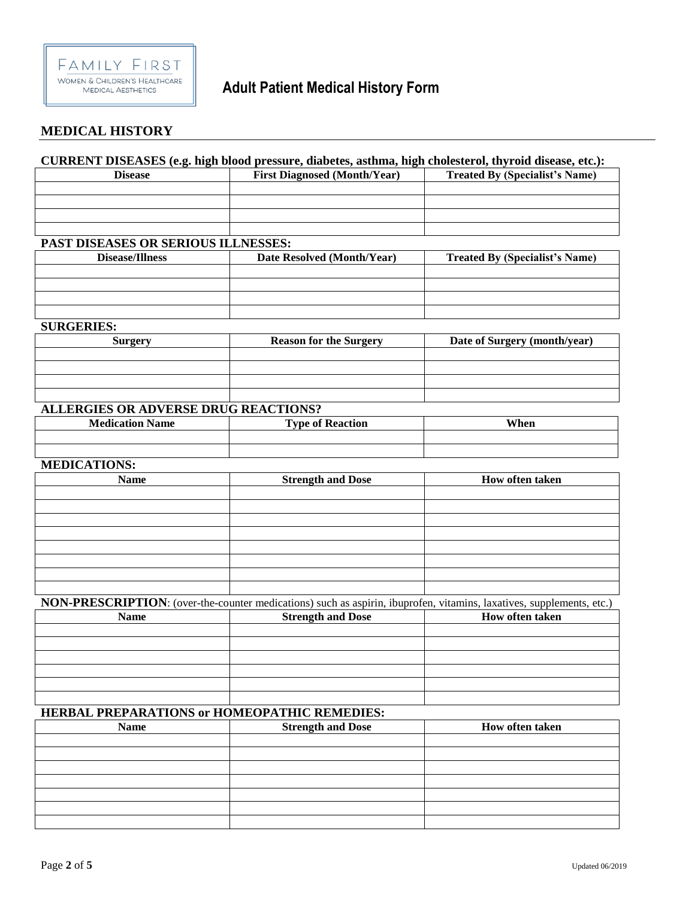

#### **MEDICAL HISTORY**

#### **CURRENT DISEASES (e.g. high blood pressure, diabetes, asthma, high cholesterol, thyroid disease, etc.):**

| <b>Disease</b> | <b>First Diagnosed (Month/Year)</b> | <b>Treated By (Specialist's Name)</b> |
|----------------|-------------------------------------|---------------------------------------|
|                |                                     |                                       |
|                |                                     |                                       |
|                |                                     |                                       |
|                |                                     |                                       |

### **PAST DISEASES OR SERIOUS ILLNESSES:**

| <b>Disease/Illness</b> | Date Resolved (Month/Year) | <b>Treated By (Specialist's Name)</b> |
|------------------------|----------------------------|---------------------------------------|
|                        |                            |                                       |
|                        |                            |                                       |
|                        |                            |                                       |
|                        |                            |                                       |

#### **SURGERIES:**

| Surgery | <b>Reason for the Surgery</b> | Date of Surgery (month/year) |
|---------|-------------------------------|------------------------------|
|         |                               |                              |
|         |                               |                              |
|         |                               |                              |
|         |                               |                              |

## **ALLERGIES OR ADVERSE DRUG REACTIONS?**

| <b>Medication</b><br>$ -$<br><b>Name</b> | m<br>Keaction<br>∣`vne ot | When |
|------------------------------------------|---------------------------|------|
|                                          |                           |      |
|                                          |                           |      |

#### **MEDICATIONS:**

| <b>Name</b> | <b>Strength and Dose</b> | How often taken |
|-------------|--------------------------|-----------------|
|             |                          |                 |
|             |                          |                 |
|             |                          |                 |
|             |                          |                 |
|             |                          |                 |
|             |                          |                 |
|             |                          |                 |
|             |                          |                 |

## **NON-PRESCRIPTION**: (over-the-counter medications) such as aspirin, ibuprofen, vitamins, laxatives, supplements, etc.)

| <b>Name</b> | <b>Strength and Dose</b> | <b>How often taken</b> |
|-------------|--------------------------|------------------------|
|             |                          |                        |
|             |                          |                        |
|             |                          |                        |
|             |                          |                        |
|             |                          |                        |
|             |                          |                        |

## **HERBAL PREPARATIONS or HOMEOPATHIC REMEDIES:**

| <b>Name</b> | <b>Strength and Dose</b> | How often taken |
|-------------|--------------------------|-----------------|
|             |                          |                 |
|             |                          |                 |
|             |                          |                 |
|             |                          |                 |
|             |                          |                 |
|             |                          |                 |
|             |                          |                 |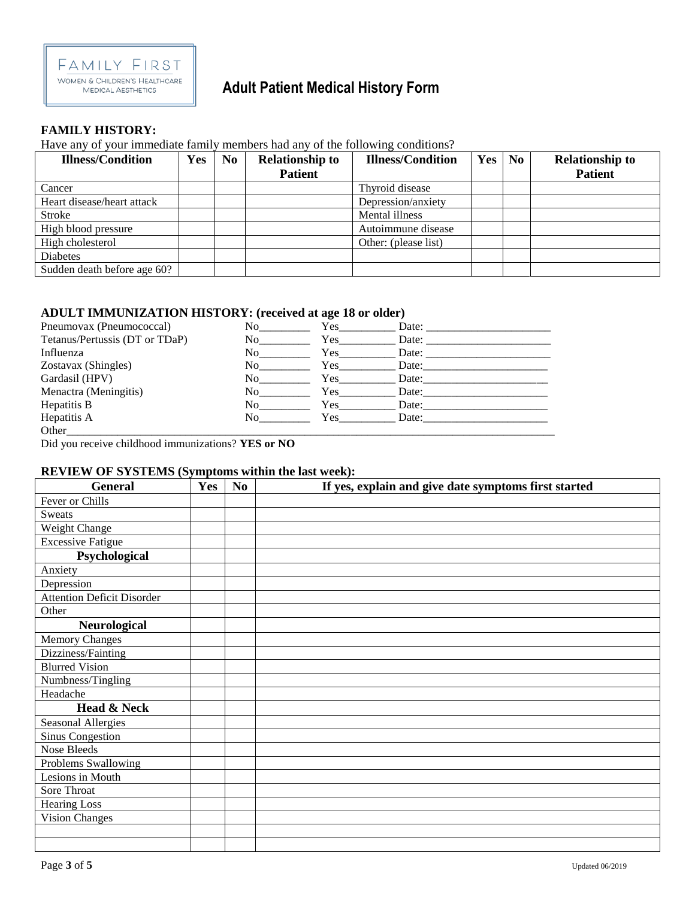

## **Adult Patient Medical History Form**

#### **FAMILY HISTORY:**

#### Have any of your immediate family members had any of the following conditions?

| <b>Illness/Condition</b>    | Yes | No | <b>Relationship to</b> | <b>Illness/Condition</b> | Yes | $\bf No$ | <b>Relationship to</b> |
|-----------------------------|-----|----|------------------------|--------------------------|-----|----------|------------------------|
|                             |     |    | <b>Patient</b>         |                          |     |          | <b>Patient</b>         |
| Cancer                      |     |    |                        | Thyroid disease          |     |          |                        |
| Heart disease/heart attack  |     |    |                        | Depression/anxiety       |     |          |                        |
| <b>Stroke</b>               |     |    |                        | Mental illness           |     |          |                        |
| High blood pressure         |     |    |                        | Autoimmune disease       |     |          |                        |
| High cholesterol            |     |    |                        | Other: (please list)     |     |          |                        |
| <b>Diabetes</b>             |     |    |                        |                          |     |          |                        |
| Sudden death before age 60? |     |    |                        |                          |     |          |                        |

#### **ADULT IMMUNIZATION HISTORY: (received at age 18 or older)**

| Pneumovax (Pneumococcal)       | No          | Yes. | Date: |
|--------------------------------|-------------|------|-------|
| Tetanus/Pertussis (DT or TDaP) | No          | Yes  | Date: |
| Influenza                      | No results. | Yes  | Date: |
| Zostavax (Shingles)            | No          | Yes  | Date: |
| Gardasil (HPV)                 | No          | Yes. | Date: |
| Menactra (Meningitis)          | No          | Yes  | Date: |
| Hepatitis B                    | No          | Yes  | Date: |
| Hepatitis A                    | No r        | Yes. | Date: |
| Other                          |             |      |       |

Did you receive childhood immunizations? **YES or NO**

#### **REVIEW OF SYSTEMS (Symptoms within the last week):**

| <b>General</b>                    | Yes | N <sub>0</sub> | If yes, explain and give date symptoms first started |
|-----------------------------------|-----|----------------|------------------------------------------------------|
| Fever or Chills                   |     |                |                                                      |
| <b>Sweats</b>                     |     |                |                                                      |
| Weight Change                     |     |                |                                                      |
| <b>Excessive Fatigue</b>          |     |                |                                                      |
| Psychological                     |     |                |                                                      |
| Anxiety                           |     |                |                                                      |
| Depression                        |     |                |                                                      |
| <b>Attention Deficit Disorder</b> |     |                |                                                      |
| Other                             |     |                |                                                      |
| Neurological                      |     |                |                                                      |
| <b>Memory Changes</b>             |     |                |                                                      |
| Dizziness/Fainting                |     |                |                                                      |
| <b>Blurred Vision</b>             |     |                |                                                      |
| Numbness/Tingling                 |     |                |                                                      |
| Headache                          |     |                |                                                      |
| Head & Neck                       |     |                |                                                      |
| <b>Seasonal Allergies</b>         |     |                |                                                      |
| <b>Sinus Congestion</b>           |     |                |                                                      |
| Nose Bleeds                       |     |                |                                                      |
| Problems Swallowing               |     |                |                                                      |
| Lesions in Mouth                  |     |                |                                                      |
| Sore Throat                       |     |                |                                                      |
| <b>Hearing Loss</b>               |     |                |                                                      |
| <b>Vision Changes</b>             |     |                |                                                      |
|                                   |     |                |                                                      |
|                                   |     |                |                                                      |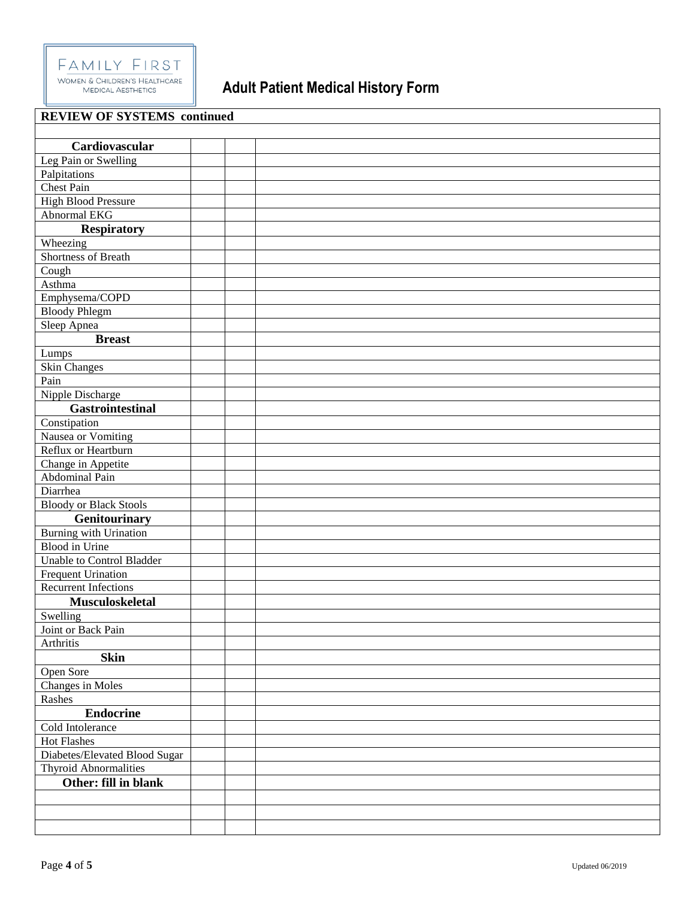

## **Adult Patient Medical History Form**

| <b>REVIEW OF SYSTEMS</b> continued |  |
|------------------------------------|--|
|                                    |  |
| Cardiovascular                     |  |
| Leg Pain or Swelling               |  |
| Palpitations                       |  |
| <b>Chest Pain</b>                  |  |
| <b>High Blood Pressure</b>         |  |
| <b>Abnormal EKG</b>                |  |
| <b>Respiratory</b>                 |  |
| Wheezing                           |  |
| <b>Shortness of Breath</b>         |  |
| Cough                              |  |
| Asthma                             |  |
| Emphysema/COPD                     |  |
| <b>Bloody Phlegm</b>               |  |
| Sleep Apnea                        |  |
| <b>Breast</b>                      |  |
| Lumps                              |  |
| Skin Changes                       |  |
| Pain                               |  |
| Nipple Discharge                   |  |
| <b>Gastrointestinal</b>            |  |
| Constipation                       |  |
| Nausea or Vomiting                 |  |
| Reflux or Heartburn                |  |
| Change in Appetite                 |  |
| Abdominal Pain                     |  |
| Diarrhea                           |  |
| <b>Bloody or Black Stools</b>      |  |
| <b>Genitourinary</b>               |  |
| Burning with Urination             |  |
| <b>Blood</b> in Urine              |  |
| Unable to Control Bladder          |  |
| <b>Frequent Urination</b>          |  |
| <b>Recurrent Infections</b>        |  |
| Musculoskeletal                    |  |
| Swelling                           |  |
| Joint or Back Pain                 |  |
| Arthritis                          |  |
| <b>Skin</b>                        |  |
| Open Sore                          |  |
| Changes in Moles                   |  |
| Rashes                             |  |
| <b>Endocrine</b>                   |  |
| Cold Intolerance                   |  |
| Hot Flashes                        |  |
| Diabetes/Elevated Blood Sugar      |  |
| <b>Thyroid Abnormalities</b>       |  |
| Other: fill in blank               |  |
|                                    |  |
|                                    |  |
|                                    |  |